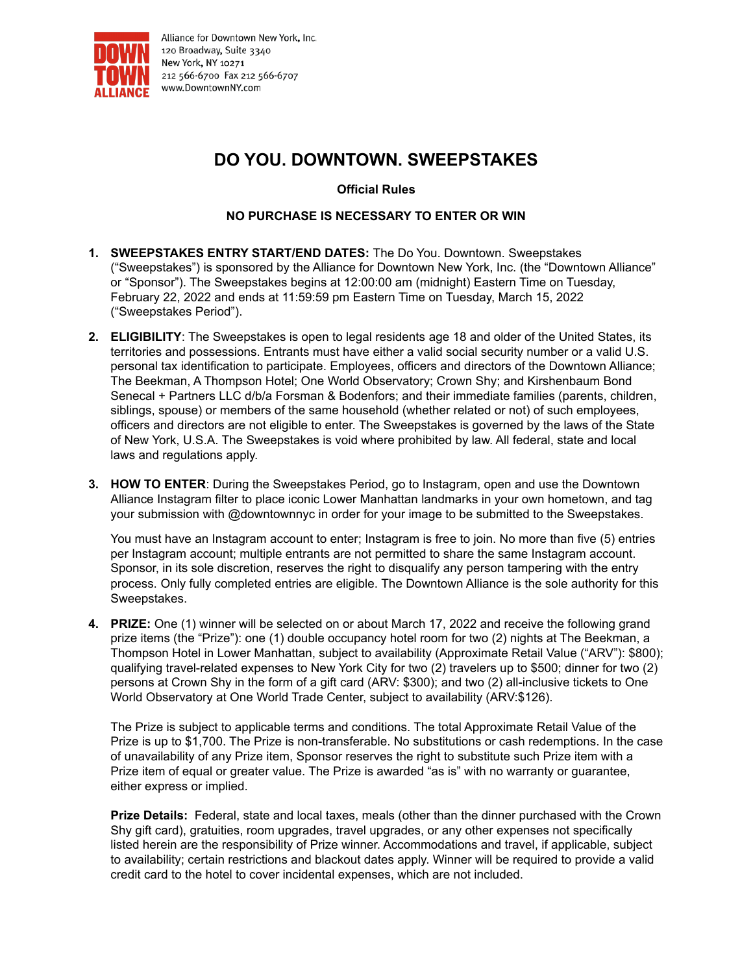

Alliance for Downtown New York, Inc. 120 Broadway, Suite 3340 New York, NY 10271 212 566-6700 Fax 212 566-6707 www.DowntownNY.com

## **DO YOU. DOWNTOWN. SWEEPSTAKES**

**Official Rules**

## **NO PURCHASE IS NECESSARY TO ENTER OR WIN**

- **1. SWEEPSTAKES ENTRY START/END DATES:** The Do You. Downtown. Sweepstakes ("Sweepstakes") is sponsored by the Alliance for Downtown New York, Inc. (the "Downtown Alliance" or "Sponsor"). The Sweepstakes begins at 12:00:00 am (midnight) Eastern Time on Tuesday, February 22, 2022 and ends at 11:59:59 pm Eastern Time on Tuesday, March 15, 2022 ("Sweepstakes Period").
- **2. ELIGIBILITY**: The Sweepstakes is open to legal residents age 18 and older of the United States, its territories and possessions. Entrants must have either a valid social security number or a valid U.S. personal tax identification to participate. Employees, officers and directors of the Downtown Alliance; The Beekman, A Thompson Hotel; One World Observatory; Crown Shy; and Kirshenbaum Bond Senecal + Partners LLC d/b/a Forsman & Bodenfors; and their immediate families (parents, children, siblings, spouse) or members of the same household (whether related or not) of such employees, officers and directors are not eligible to enter. The Sweepstakes is governed by the laws of the State of New York, U.S.A. The Sweepstakes is void where prohibited by law. All federal, state and local laws and regulations apply.
- **3. HOW TO ENTER**: During the Sweepstakes Period, go to Instagram, open and use the Downtown Alliance Instagram filter to place iconic Lower Manhattan landmarks in your own hometown, and tag your submission with @downtownnyc in order for your image to be submitted to the Sweepstakes.

You must have an Instagram account to enter; Instagram is free to join. No more than five (5) entries per Instagram account; multiple entrants are not permitted to share the same Instagram account. Sponsor, in its sole discretion, reserves the right to disqualify any person tampering with the entry process. Only fully completed entries are eligible. The Downtown Alliance is the sole authority for this Sweepstakes.

**4. PRIZE:** One (1) winner will be selected on or about March 17, 2022 and receive the following grand prize items (the "Prize"): one (1) double occupancy hotel room for two (2) nights at The Beekman, a Thompson Hotel in Lower Manhattan, subject to availability (Approximate Retail Value ("ARV"): \$800); qualifying travel-related expenses to New York City for two (2) travelers up to \$500; dinner for two (2) persons at Crown Shy in the form of a gift card (ARV: \$300); and two (2) all-inclusive tickets to One World Observatory at One World Trade Center, subject to availability (ARV:\$126).

The Prize is subject to applicable terms and conditions. The total Approximate Retail Value of the Prize is up to \$1,700. The Prize is non-transferable. No substitutions or cash redemptions. In the case of unavailability of any Prize item, Sponsor reserves the right to substitute such Prize item with a Prize item of equal or greater value. The Prize is awarded "as is" with no warranty or guarantee, either express or implied.

**Prize Details:** Federal, state and local taxes, meals (other than the dinner purchased with the Crown Shy gift card), gratuities, room upgrades, travel upgrades, or any other expenses not specifically listed herein are the responsibility of Prize winner. Accommodations and travel, if applicable, subject to availability; certain restrictions and blackout dates apply. Winner will be required to provide a valid credit card to the hotel to cover incidental expenses, which are not included.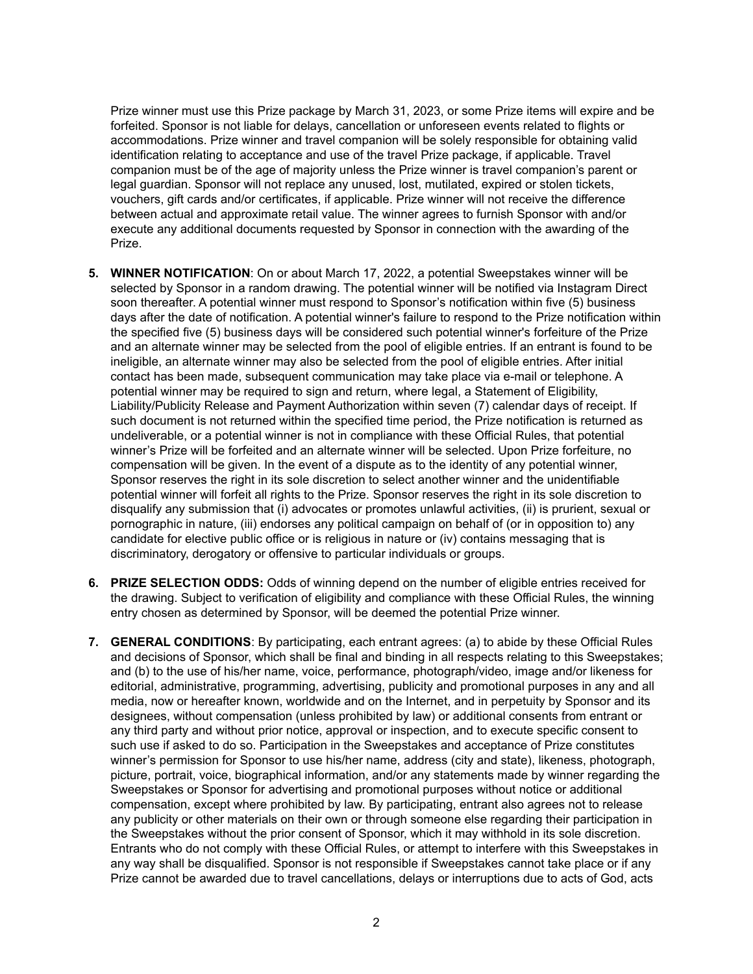Prize winner must use this Prize package by March 31, 2023, or some Prize items will expire and be forfeited. Sponsor is not liable for delays, cancellation or unforeseen events related to flights or accommodations. Prize winner and travel companion will be solely responsible for obtaining valid identification relating to acceptance and use of the travel Prize package, if applicable. Travel companion must be of the age of majority unless the Prize winner is travel companion's parent or legal guardian. Sponsor will not replace any unused, lost, mutilated, expired or stolen tickets, vouchers, gift cards and/or certificates, if applicable. Prize winner will not receive the difference between actual and approximate retail value. The winner agrees to furnish Sponsor with and/or execute any additional documents requested by Sponsor in connection with the awarding of the Prize.

- **5. WINNER NOTIFICATION**: On or about March 17, 2022, a potential Sweepstakes winner will be selected by Sponsor in a random drawing. The potential winner will be notified via Instagram Direct soon thereafter. A potential winner must respond to Sponsor's notification within five (5) business days after the date of notification. A potential winner's failure to respond to the Prize notification within the specified five (5) business days will be considered such potential winner's forfeiture of the Prize and an alternate winner may be selected from the pool of eligible entries. If an entrant is found to be ineligible, an alternate winner may also be selected from the pool of eligible entries. After initial contact has been made, subsequent communication may take place via e-mail or telephone. A potential winner may be required to sign and return, where legal, a Statement of Eligibility, Liability/Publicity Release and Payment Authorization within seven (7) calendar days of receipt. If such document is not returned within the specified time period, the Prize notification is returned as undeliverable, or a potential winner is not in compliance with these Official Rules, that potential winner's Prize will be forfeited and an alternate winner will be selected. Upon Prize forfeiture, no compensation will be given. In the event of a dispute as to the identity of any potential winner, Sponsor reserves the right in its sole discretion to select another winner and the unidentifiable potential winner will forfeit all rights to the Prize. Sponsor reserves the right in its sole discretion to disqualify any submission that (i) advocates or promotes unlawful activities, (ii) is prurient, sexual or pornographic in nature, (iii) endorses any political campaign on behalf of (or in opposition to) any candidate for elective public office or is religious in nature or (iv) contains messaging that is discriminatory, derogatory or offensive to particular individuals or groups.
- **6. PRIZE SELECTION ODDS:** Odds of winning depend on the number of eligible entries received for the drawing. Subject to verification of eligibility and compliance with these Official Rules, the winning entry chosen as determined by Sponsor, will be deemed the potential Prize winner.
- **7. GENERAL CONDITIONS**: By participating, each entrant agrees: (a) to abide by these Official Rules and decisions of Sponsor, which shall be final and binding in all respects relating to this Sweepstakes; and (b) to the use of his/her name, voice, performance, photograph/video, image and/or likeness for editorial, administrative, programming, advertising, publicity and promotional purposes in any and all media, now or hereafter known, worldwide and on the Internet, and in perpetuity by Sponsor and its designees, without compensation (unless prohibited by law) or additional consents from entrant or any third party and without prior notice, approval or inspection, and to execute specific consent to such use if asked to do so. Participation in the Sweepstakes and acceptance of Prize constitutes winner's permission for Sponsor to use his/her name, address (city and state), likeness, photograph, picture, portrait, voice, biographical information, and/or any statements made by winner regarding the Sweepstakes or Sponsor for advertising and promotional purposes without notice or additional compensation, except where prohibited by law. By participating, entrant also agrees not to release any publicity or other materials on their own or through someone else regarding their participation in the Sweepstakes without the prior consent of Sponsor, which it may withhold in its sole discretion. Entrants who do not comply with these Official Rules, or attempt to interfere with this Sweepstakes in any way shall be disqualified. Sponsor is not responsible if Sweepstakes cannot take place or if any Prize cannot be awarded due to travel cancellations, delays or interruptions due to acts of God, acts